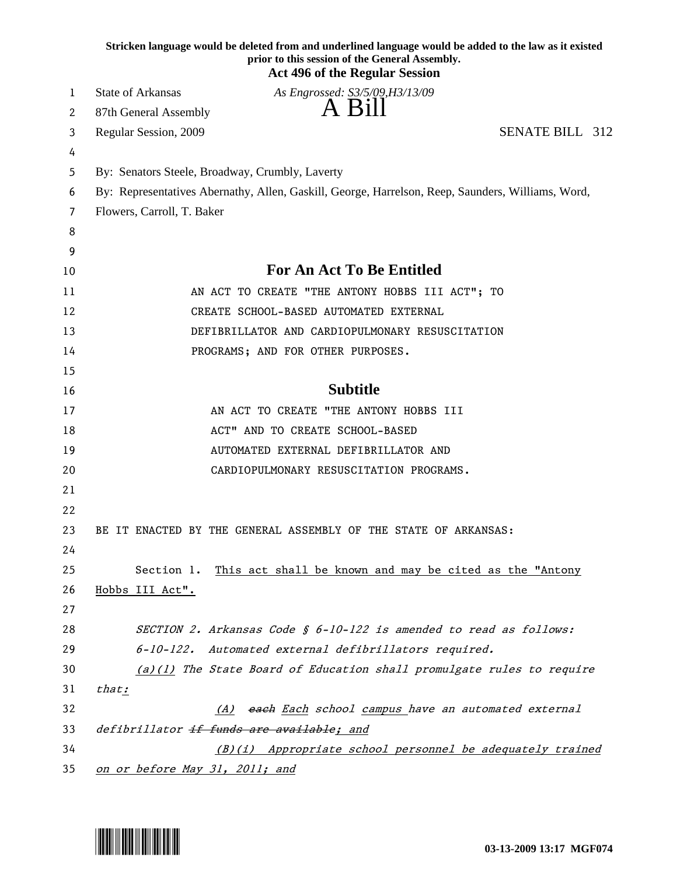|    | Stricken language would be deleted from and underlined language would be added to the law as it existed<br>prior to this session of the General Assembly.<br><b>Act 496 of the Regular Session</b> |
|----|----------------------------------------------------------------------------------------------------------------------------------------------------------------------------------------------------|
| 1  | State of Arkansas<br>As Engrossed: S3/5/09, H3/13/09                                                                                                                                               |
| 2  | A Bill<br>87th General Assembly                                                                                                                                                                    |
| 3  | <b>SENATE BILL 312</b><br>Regular Session, 2009                                                                                                                                                    |
| 4  |                                                                                                                                                                                                    |
| 5  | By: Senators Steele, Broadway, Crumbly, Laverty                                                                                                                                                    |
| 6  | By: Representatives Abernathy, Allen, Gaskill, George, Harrelson, Reep, Saunders, Williams, Word,                                                                                                  |
| 7  | Flowers, Carroll, T. Baker                                                                                                                                                                         |
| 8  |                                                                                                                                                                                                    |
| 9  |                                                                                                                                                                                                    |
| 10 | <b>For An Act To Be Entitled</b>                                                                                                                                                                   |
| 11 | AN ACT TO CREATE "THE ANTONY HOBBS III ACT"; TO                                                                                                                                                    |
| 12 | CREATE SCHOOL-BASED AUTOMATED EXTERNAL                                                                                                                                                             |
| 13 | DEFIBRILLATOR AND CARDIOPULMONARY RESUSCITATION                                                                                                                                                    |
| 14 | PROGRAMS; AND FOR OTHER PURPOSES.                                                                                                                                                                  |
| 15 |                                                                                                                                                                                                    |
| 16 | <b>Subtitle</b>                                                                                                                                                                                    |
| 17 | AN ACT TO CREATE "THE ANTONY HOBBS III                                                                                                                                                             |
| 18 | ACT" AND TO CREATE SCHOOL-BASED                                                                                                                                                                    |
| 19 | AUTOMATED EXTERNAL DEFIBRILLATOR AND                                                                                                                                                               |
| 20 | CARDIOPULMONARY RESUSCITATION PROGRAMS.                                                                                                                                                            |
| 21 |                                                                                                                                                                                                    |
| 22 |                                                                                                                                                                                                    |
| 23 | BE IT ENACTED BY THE GENERAL ASSEMBLY OF THE STATE OF ARKANSAS:                                                                                                                                    |
| 24 |                                                                                                                                                                                                    |
| 25 | This act shall be known and may be cited as the "Antony<br>Section 1.                                                                                                                              |
| 26 | Hobbs III Act".                                                                                                                                                                                    |
| 27 |                                                                                                                                                                                                    |
| 28 | SECTION 2. Arkansas Code § 6-10-122 is amended to read as follows:                                                                                                                                 |
| 29 | 6-10-122. Automated external defibrillators required.                                                                                                                                              |
| 30 | (a)(1) The State Board of Education shall promulgate rules to require                                                                                                                              |
| 31 | that:                                                                                                                                                                                              |
| 32 | each Each school campus have an automated external<br>(A)                                                                                                                                          |
| 33 | defibrillator if funds are available; and                                                                                                                                                          |
| 34 | (B)(i) Appropriate school personnel be adequately trained                                                                                                                                          |
| 35 | on or before May 31, 2011; and                                                                                                                                                                     |

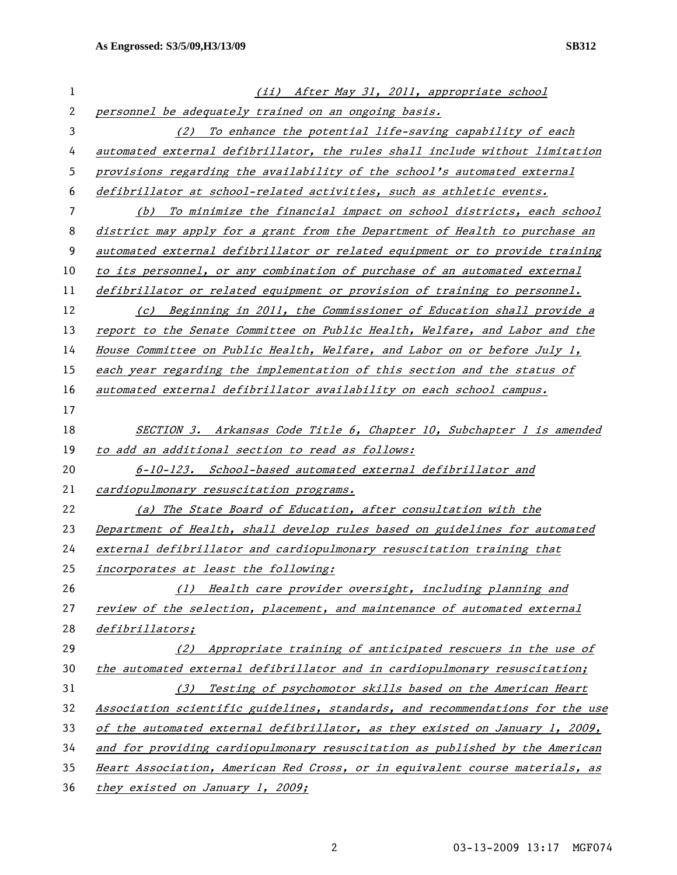| 1  | (ii) After May 31, 2011, appropriate school                                   |
|----|-------------------------------------------------------------------------------|
| 2  | personnel be adequately trained on an ongoing basis.                          |
| 3  | (2) To enhance the potential life-saving capability of each                   |
| 4  | automated external defibrillator, the rules shall include without limitation  |
| 5  | provisions regarding the availability of the school's automated external      |
| 6  | defibrillator at school-related activities, such as athletic events.          |
| 7  | (b) To minimize the financial impact on school districts, each school         |
| 8  | district may apply for a grant from the Department of Health to purchase an   |
| 9  | automated external defibrillator or related equipment or to provide training  |
| 10 | to its personnel, or any combination of purchase of an automated external     |
| 11 | defibrillator or related equipment or provision of training to personnel.     |
| 12 | (c) Beginning in 2011, the Commissioner of Education shall provide a          |
| 13 | report to the Senate Committee on Public Health, Welfare, and Labor and the   |
| 14 | House Committee on Public Health, Welfare, and Labor on or before July 1,     |
| 15 | each year regarding the implementation of this section and the status of      |
| 16 | automated external defibrillator availability on each school campus.          |
| 17 |                                                                               |
| 18 | SECTION 3. Arkansas Code Title 6, Chapter 10, Subchapter 1 is amended         |
| 19 | to add an additional section to read as follows:                              |
| 20 | 6-10-123. School-based automated external defibrillator and                   |
| 21 | cardiopulmonary resuscitation programs.                                       |
| 22 | (a) The State Board of Education, after consultation with the                 |
| 23 | Department of Health, shall develop rules based on guidelines for automated   |
| 24 | external defibrillator and cardiopulmonary resuscitation training that        |
| 25 | incorporates at least the following:                                          |
| 26 | (1) Health care provider oversight, including planning and                    |
| 27 | review of the selection, placement, and maintenance of automated external     |
| 28 | defibrillators;                                                               |
| 29 | Appropriate training of anticipated rescuers in the use of<br>(2)             |
| 30 | the automated external defibrillator and in cardiopulmonary resuscitation;    |
| 31 | Testing of psychomotor skills based on the American Heart<br>(3)              |
| 32 | Association scientific guidelines, standards, and recommendations for the use |
| 33 | of the automated external defibrillator, as they existed on January 1, 2009,  |
| 34 | and for providing cardiopulmonary resuscitation as published by the American  |
| 35 | Heart Association, American Red Cross, or in equivalent course materials, as  |
| 36 | they existed on January 1, 2009;                                              |